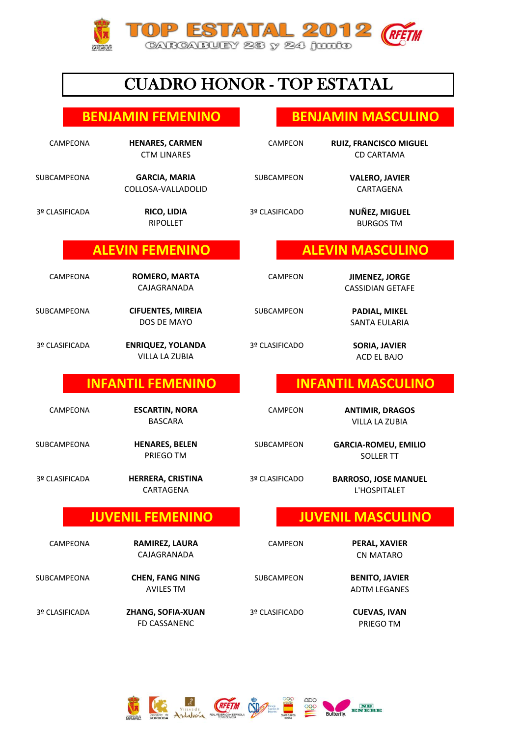

# CUADRO HONOR - TOP ESTATAL

### **BENJAMIN FEMENINO BENJAMIN MASCULINO**

CAMPEONA **HENARES, CARMEN** CAMPEON CTM LINARES CD CARTAMA

SUBCAMPEONA **GARCIA, MARIA** SUBCAMPEON COLLOSA-VALLADOLID CARTAGENA

3º CLASIFICADA 3º CLASIFICADO **RIPOLLET** 

## **ALEVIN FEMENINO ALEVIN MASCULINO**

**CAJAGRANADA** 

SUBCAMPEONA SUBCAMPEON **CIFUENTES, MIREIA PADIAL, MIKEL** DOS DE MAYO

#### 3º CLASIFICADA 3º CLASIFICADO **ENRIQUEZ, YOLANDA SORIA, JAVIER** 26 22 VILLA LA ZUBIA

CAMPEONA **ESCARTIN, NORA** CAMPEON

**BASCARA** 

SUBCAMPEONA **HENARES, BELEN** SUBCAMPEON

3º CLASIFICADA 3º CLASIFICADO

CARTAGENA

AVILES TM

3º CLASIFICADA 3º CLASIFICADO **ZHANG, SOFIA-XUAN CUEVAS, IVAN** FD CASSANENC **Example 20 Set 10 April 20 Set 10 April 20 Set 10 April 20 Set 10 April 20 Set 20 April 20 Set 20 April 20 Set 20 April 20 Set 20 April 20 Set 20 April 20 Set 20 April 20 Set 20 April 20 Set 20 April 20 Set 2** 

**RICO, LIDIA NUÑEZ, MIGUEL**

CAMPEONA CAMPEON **ROMERO, MARTA JIMENEZ, JORGE** CASSIDIAN GETAFE

SANTA EULARIA

ACD EL BAJO

# **INFANTIL FEMENINO INFANTIL MASCULINO**

**HENARES, BELEN GARCIA-ROMEU, EMILIO**

**BARROSO, JOSE MANUEL** L'HOSPITALET

# **JUVENIL FEMENINO JUVENIL MASCULINO**

ADTM LEGANES



**VALERO, JAVIER** 

**HENARES, CARMEN RUIZ, FRANCISCO MIGUEL**

**BURGOS TM** 

**VILLA LA ZUBIA ESCARTIN, NORA ANTIMIR, DRAGOS**

**PRIEGO TM** SOLLER TT

59 49 CAJAGRANADA CN MATARO

CAMPEONA CAMPEON **RAMIREZ, LAURA PERAL, XAVIER**

SUBCAMPEONA SUBCAMPEON **CHEN, FANG NING BENITO, JAVIER**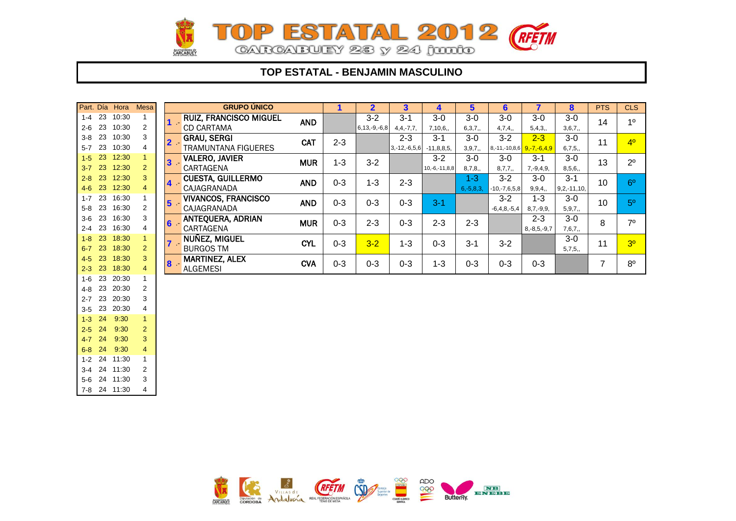

### **TOP ESTATAL - BENJAMIN MASCULINO**

|         | Part. Día | Hora  | <b>Mesa</b>    |                  | <b>GRUPO ÚNICO</b>            |            | 1       | $\overline{2}$     | 3              | 4               | $5\phantom{.0}$ | 6                         | 7                 | 8                | <b>PTS</b>      | <b>CLS</b>     |
|---------|-----------|-------|----------------|------------------|-------------------------------|------------|---------|--------------------|----------------|-----------------|-----------------|---------------------------|-------------------|------------------|-----------------|----------------|
| $1 - 4$ | 23        | 10:30 |                |                  | <b>RUIZ, FRANCISCO MIGUEL</b> | <b>AND</b> |         | $3 - 2$            | $3 - 1$        | $3-0$           | $3-0$           | $3-0$                     | $3-0$             | $3-0$            | 14              | 1 <sup>0</sup> |
| $2 - 6$ | 23        | 10:30 | 2              |                  | <b>CD CARTAMA</b>             |            |         | $6, 13, -9, -6, 8$ | $4, 4, -7, 7,$ | 7,10,6.         | 6,3,7,          | 4,7,4,                    | 5,4,3,            | 3,6,7,           |                 |                |
| $3 - 8$ | 23        | 10:30 | 3              |                  | <b>GRAU, SERGI</b>            | <b>CAT</b> | $2 - 3$ |                    | $2 - 3$        | $3 - 1$         | $3-0$           | $3 - 2$                   | $2 - 3$           | $3-0$            | 11              | 4 <sup>0</sup> |
| $5 - 7$ | 23        | 10:30 | 4              |                  | <b>TRAMUNTANA FIGUERES</b>    |            |         |                    | $3,-12,-6,5,6$ | $-11,8,8,5$     | 3, 9, 7,        | 8,-11,-10,8,6 9,-7,-6,4,9 |                   | 6,7,5,           |                 |                |
| $1-5$   | 23        | 12:30 |                | $\mathbf{3}$     | <b>VALERO, JAVIER</b>         | <b>MUR</b> | $1 - 3$ | $3 - 2$            |                | $3 - 2$         | $3-0$           | $3-0$                     | $3 - 1$           | $3-0$            | 13              | $2^{\circ}$    |
| $3 - 7$ | 23        | 12:30 | $\overline{2}$ |                  | CARTAGENA                     |            |         |                    |                | $10,-6,-11,8,8$ | 8,7,8,          | 8,7,7,                    | $7, -9, 4, 9,$    | 8,5,6,           |                 |                |
| $2 - 8$ | 23        | 12:30 | 3              | $\blacktriangle$ | <b>CUESTA, GUILLERMO</b>      | <b>AND</b> | $0 - 3$ | $1 - 3$            | $2 - 3$        |                 | $1 - 3$         | $3 - 2$                   | $3-0$             | $3 - 1$          | 10              | 6 <sup>o</sup> |
| $4-6$   | 23        | 12:30 | 4              |                  | CAJAGRANADA                   |            |         |                    |                |                 | $6, -5, 8, 3,$  | $-10,-7,6,5,8$            | 9, 9, 4,          | $9, 2, -11, 10,$ |                 |                |
| $1 - 7$ | 23        | 16:30 |                | $5\phantom{1}$   | <b>VIVANCOS, FRANCISCO</b>    | <b>AND</b> | $0 - 3$ | $0 - 3$            | $0 - 3$        | $3 - 1$         |                 | $3 - 2$                   | $1 - 3$           | $3-0$            | 10 <sup>°</sup> | 5 <sup>o</sup> |
| $5-8$   | 23        | 16:30 | $\overline{2}$ |                  | CAJAGRANADA                   |            |         |                    |                |                 |                 | $-6,4,8,-5,4$             | $8,7,-9,9,$       | 5, 9, 7,         |                 |                |
| $3-6$   | 23        | 16:30 | 3              | 6                | ANTEQUERA, ADRIAN             | <b>MUR</b> | $0 - 3$ | $2 - 3$            | $0 - 3$        | $2 - 3$         | $2 - 3$         |                           | $2 - 3$           | $3-0$            | 8               | 7 <sup>0</sup> |
| $2 - 4$ | 23        | 16:30 | 4              |                  | CARTAGENA                     |            |         |                    |                |                 |                 |                           | $8, -8, 5, -9, 7$ | 7,6,7,           |                 |                |
| $1 - 8$ | 23        | 18:30 |                |                  | NUÑEZ, MIGUEL                 | <b>CYL</b> | $0 - 3$ | $3 - 2$            | $1 - 3$        | $0 - 3$         | $3 - 1$         | $3 - 2$                   |                   | $3-0$            | 11              | 3 <sup>o</sup> |
| $6 - 7$ | 23        | 18:30 | $\overline{2}$ |                  | <b>BURGOS TM</b>              |            |         |                    |                |                 |                 |                           |                   | 5,7,5,           |                 |                |
| $4-5$   | 23        | 18:30 | 3              | 8                | <b>MARTINEZ, ALEX</b>         | <b>CVA</b> | $0 - 3$ | $0 - 3$            | $0 - 3$        | $1 - 3$         | $0 - 3$         | $0 - 3$                   | $0 - 3$           |                  | $\overline{7}$  | $8^{\circ}$    |
| $2 - 3$ | 23        | 18:30 | 4              |                  | <b>ALGEMESI</b>               |            |         |                    |                |                 |                 |                           |                   |                  |                 |                |
| $1 - 6$ | 23        | 20:30 |                |                  |                               |            |         |                    |                |                 |                 |                           |                   |                  |                 |                |
| $4 - 8$ | 23        | 20:30 | 2              |                  |                               |            |         |                    |                |                 |                 |                           |                   |                  |                 |                |
| $2 - 7$ | 23        | 20:30 | 3              |                  |                               |            |         |                    |                |                 |                 |                           |                   |                  |                 |                |
| $3 - 5$ | 23        | 20:30 | 4              |                  |                               |            |         |                    |                |                 |                 |                           |                   |                  |                 |                |
| $1-3$   | 24        | 9:30  | $\overline{1}$ |                  |                               |            |         |                    |                |                 |                 |                           |                   |                  |                 |                |
| $2-5$   | 24        | 9:30  | $\overline{2}$ |                  |                               |            |         |                    |                |                 |                 |                           |                   |                  |                 |                |
| $4 - 7$ | 24        | 9:30  | 3              |                  |                               |            |         |                    |                |                 |                 |                           |                   |                  |                 |                |
|         | $6-8$ 24  | 9:30  | 4              |                  |                               |            |         |                    |                |                 |                 |                           |                   |                  |                 |                |



1-2 24 11:30 1 3-4 24 11:30 2 5-6 24 11:30 3 7-8 24 11:30 4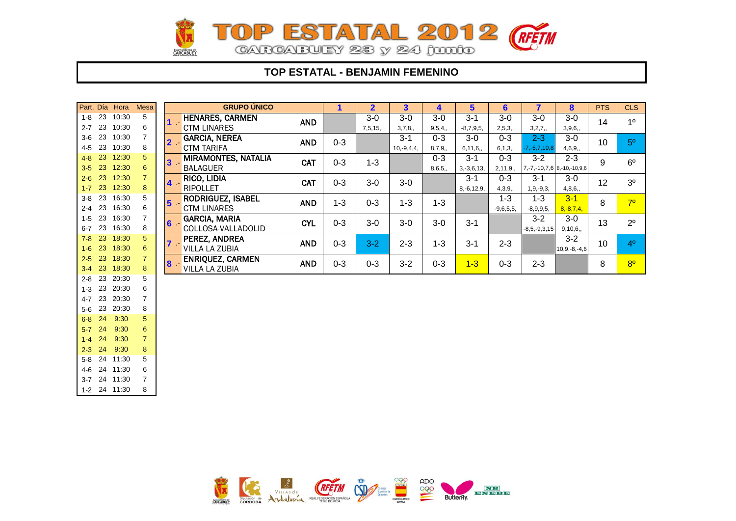

### **TOP ESTATAL - BENJAMIN FEMENINO**

|            |    | Part. Día Hora | <b>Mesa</b>    |                | <b>GRUPO ÚNICO</b>   |            | 1       | $\overline{2}$ | $\mathbf{3}$ | 4       | 5               | $6\phantom{1}$ | 7                  | 8                                    | <b>PTS</b> | <b>CLS</b>     |
|------------|----|----------------|----------------|----------------|----------------------|------------|---------|----------------|--------------|---------|-----------------|----------------|--------------------|--------------------------------------|------------|----------------|
| $1-8$ 23   |    | 10:30          | 5              |                | HENARES, CARMEN      | <b>AND</b> |         | $3-0$          | $3-0$        | $3-0$   | $3 - 1$         | $3-0$          | $3-0$              | $3-0$                                | 14         | 1 <sup>0</sup> |
| $2 - 7$ 23 |    | 10:30          | 6              |                | <b>CTM LINARES</b>   |            |         | 7,5,15,        | 3,7,8,       | 9,5,4,  | $-8.7.9.5$      | 2,5,3,         | 3, 2, 7,           | 3,9,6,                               |            |                |
| $3-6$ 23   |    | 10:30          | 7              | $\overline{2}$ | <b>GARCIA, NEREA</b> | <b>AND</b> | $0 - 3$ |                | $3 - 1$      | $0 - 3$ | $3-0$           | $0 - 3$        | $2 - 3$            | $3-0$                                | 10         | 5 <sup>0</sup> |
| $4 - 5$    | 23 | 10:30          | 8              |                | <b>CTM TARIFA</b>    |            |         |                | $10,-9,4,4,$ | 8,7,9,  | 6,11,6,         | 6, 1, 3,       | $-7, -5, 7, 10, 8$ | 4,6,9,                               |            |                |
| $4 - 8$    | 23 | 12:30          | 5              | $\mathbf{3}$   | MIRAMONTES, NATALIA  | <b>CAT</b> | $0 - 3$ | $1 - 3$        |              | $0 - 3$ | $3 - 1$         | $0 - 3$        | $3 - 2$            | $2 - 3$                              | 9          | $6^{\circ}$    |
| $3-5$      | 23 | 12:30          | 6              |                | <b>BALAGUER</b>      |            |         |                |              | 8,6,5,  | $3, -3, 6, 13,$ | 2, 11, 9,      |                    | $7, -7, -10, 7, 6$ 8, -10, -10, 9, 6 |            |                |
| $2 - 6$    | 23 | 12:30          | $\overline{7}$ | $\overline{4}$ | RICO, LIDIA          | <b>CAT</b> | $0 - 3$ | $3-0$          | $3-0$        |         | $3 - 1$         | $0 - 3$        | $3 - 1$            | $3-0$                                | 12         | 3 <sup>o</sup> |
| $1 - 7$    | 23 | 12:30          | 8              |                | <b>RIPOLLET</b>      |            |         |                |              |         | $8, -6, 12, 9,$ | 4,3,9,         | $1, 9, -9, 3,$     | 4,8,6,                               |            |                |
| $3 - 8$    | 23 | 16:30          | 5              | $5\phantom{1}$ | RODRIGUEZ, ISABEL    | <b>AND</b> | $1 - 3$ | $0 - 3$        | $1 - 3$      | $1 - 3$ |                 | $1 - 3$        | $1 - 3$            | $3 - 1$                              | 8          | 7 <sup>o</sup> |
| $2 - 4$    | 23 | 16:30          | 6              |                | <b>CTM LINARES</b>   |            |         |                |              |         |                 | $-9,6,5,5,$    | $-8,9,9,5,$        | $8, -8, 7, 4,$                       |            |                |
| $1 - 5$    | 23 | 16:30          | 7              | 6              | <b>GARCIA, MARIA</b> | <b>CYL</b> | $0 - 3$ | $3-0$          | $3-0$        | $3-0$   | $3 - 1$         |                | $3 - 2$            | $3-0$                                | 13         | $2^{\circ}$    |
| $6 - 7$    | 23 | 16:30          | 8              |                | COLLOSA-VALLADOLID   |            |         |                |              |         |                 |                | $-8,5,-9,3,15$     | 9,10,6,                              |            |                |
| $7 - 8$    | 23 | 18:30          | 5              |                | PEREZ, ANDREA        | <b>AND</b> | $0 - 3$ | $3 - 2$        | $2 - 3$      | $1 - 3$ | $3 - 1$         | $2 - 3$        |                    | $3 - 2$                              | 10         | 4 <sup>0</sup> |
| $1 - 6$    | 23 | 18:30          | 6              |                | VILLA LA ZUBIA       |            |         |                |              |         |                 |                |                    | $10,9,-8,-4,6$                       |            |                |
| $2-5$      | 23 | 18:30          | $\overline{7}$ | $\bf{8}$       | ENRIQUEZ, CARMEN     | <b>AND</b> | $0 - 3$ | $0 - 3$        | $3 - 2$      | $0 - 3$ | $1 - 3$         | $0 - 3$        | $2 - 3$            |                                      | 8          | 8 <sup>o</sup> |
| $3\cdot 4$ | 23 | 18:30          | 8              |                | VILLA LA ZUBIA       |            |         |                |              |         |                 |                |                    |                                      |            |                |
| $2 - 8$    | 23 | 20:30          | 5              |                |                      |            |         |                |              |         |                 |                |                    |                                      |            |                |
| $1 - 3$    | 23 | 20:30          | 6              |                |                      |            |         |                |              |         |                 |                |                    |                                      |            |                |
| $4 - 7$    | 23 | 20:30          | $\overline{7}$ |                |                      |            |         |                |              |         |                 |                |                    |                                      |            |                |
| $5-6$      | 23 | 20:30          | 8              |                |                      |            |         |                |              |         |                 |                |                    |                                      |            |                |
| $6 - 8$    | 24 | 9:30           | 5              |                |                      |            |         |                |              |         |                 |                |                    |                                      |            |                |
| $5-7$      | 24 | 9:30           | 6              |                |                      |            |         |                |              |         |                 |                |                    |                                      |            |                |
| $1-4$      | 24 | 9:30           | $\overline{7}$ |                |                      |            |         |                |              |         |                 |                |                    |                                      |            |                |
| $2-3$ 24   |    | 9:30           | 8              |                |                      |            |         |                |              |         |                 |                |                    |                                      |            |                |



5-8 24 11:30 5 4-6 24 11:30 6 3-7 24 11:30 7 1-2 24 11:30 8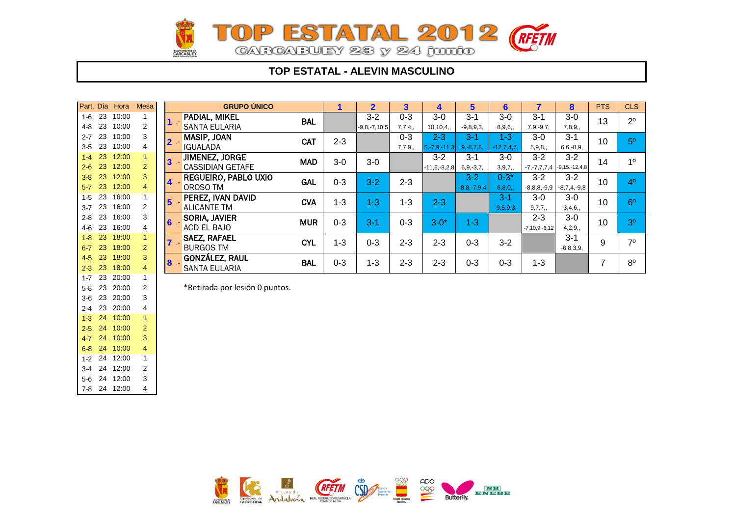

### **TOP ESTATAL - ALEVIN MASCULINO**

|         | Part. Día | Hora  | <b>Mesa</b> |                | <b>GRUPO ÚNICO</b>             |            |         | $\overline{2}$     | 3       | 4                  | 5                 | $6\phantom{1}$ | 7                 | 8                   | <b>PTS</b> | <b>CLS</b>     |
|---------|-----------|-------|-------------|----------------|--------------------------------|------------|---------|--------------------|---------|--------------------|-------------------|----------------|-------------------|---------------------|------------|----------------|
| $1-6$   | 23        | 10:00 |             |                | PADIAL, MIKEL                  | <b>BAL</b> |         | $3 - 2$            | $0 - 3$ | $3-0$              | $3 - 1$           | $3-0$          | $3 - 1$           | $3-0$               | 13         | $2^{\circ}$    |
| 4-8     | 23        | 10:00 | 2           |                | <b>SANTA EULARIA</b>           |            |         | $-9, 8, -7, 10, 5$ | 7,7,4,  | 10, 10, 4,         | $-9, 8, 9, 3,$    | 8,9,6,         | $7, 9, -9, 7,$    | 7,8,9,              |            |                |
| $2 - 7$ | 23        | 10:00 | 3           |                | <b>MASIP, JOAN</b>             | CAT        | $2 - 3$ |                    | $0 - 3$ | $2 - 3$            | $3 - 1$           | 1-3.           | $3-0$             | $3 - 1$             | 10         | 5 <sup>0</sup> |
| $3 - 5$ | 23        | 10:00 | 4           |                | <b>IGUALADA</b>                |            |         |                    | 7,7,9,  | $5, -7, 9, -11, 3$ | $9, -8, 7, 8,$    | $-12,7,4,7$    | 5,9,8,            | $6, 6, -8, 9,$      |            |                |
| $1 - 4$ | 23        | 12:00 |             | $\mathbf{3}$   | JIMENEZ, JORGE                 | <b>MAD</b> | $3-0$   | $3-0$              |         | $3 - 2$            | $3 - 1$           | $3-0$          | $3 - 2$           | $3 - 2$             | 14         | 10             |
| $2 - 6$ | 23        | 12:00 | 2           |                | <b>CASSIDIAN GETAFE</b>        |            |         |                    |         | $-11,6,-8,2,8$     | $6, 9, -3, 7,$    | 3,9,7,         | $-7, -7, 7, 7, 4$ | $-9, 15, -12, 4, 8$ |            |                |
| $3 - 8$ | 23        | 12:00 | 3           | 4 <sup>1</sup> | REGUEIRO, PABLO UXIO           | <b>GAL</b> | $0 - 3$ | $3 - 2$            | $2 - 3$ |                    | $3 - 2$           | $0 - 3^*$      | $3 - 2$           | $3 - 2$             | 10         | 4 <sup>0</sup> |
| $5-7$   | 23        | 12:00 | 4           |                | OROSO TM                       |            |         |                    |         |                    | $-8, 8, -7, 9, 4$ | 6, 8, 0,       | $-8, 8, 8, -9, 9$ | $-8,7,4,-9,8$       |            |                |
| $1 - 5$ | 23        | 16:00 |             | $5\phantom{1}$ | PEREZ, IVAN DAVID              | <b>CVA</b> | $1 - 3$ | $1 - 3$            | $1 - 3$ | $2 - 3$            |                   | $3-1$          | $3-0$             | $3-0$               | 10         | 6 <sup>0</sup> |
| $3 - 7$ | 23        | 16:00 | 2           |                | <b>ALICANTE TM</b>             |            |         |                    |         |                    |                   | $-9,5,9,3,$    | 9,7,7,            | 3,4,6,              |            |                |
| $2 - 8$ | 23        | 16:00 | 3           | $6 -$          | <b>SORIA, JAVIER</b>           | <b>MUR</b> | $0 - 3$ | $3 - 1$            | $0 - 3$ | $3 - 0*$           |                   |                | $2 - 3$           | $3-0$               | 10         | 3 <sup>o</sup> |
| 4-6     | 23        | 16:00 | 4           |                | ACD EL BAJO                    |            |         |                    |         |                    | $1 - 3$           |                | $-7,10,9,-6,12$   | 4,2,9,              |            |                |
| $1-8$   | 23        | 18:00 |             |                | <b>SAEZ, RAFAEL</b>            | <b>CYL</b> | $1 - 3$ | $0 - 3$            | $2 - 3$ | $2 - 3$            | $0 - 3$           | $3 - 2$        |                   | $3 - 1$             | 9          | 70             |
| $6 - 7$ | 23        | 18:00 | 2           |                | <b>BURGOS TM</b>               |            |         |                    |         |                    |                   |                |                   | $-6,8,3,9,$         |            |                |
| $4 - 5$ | 23        | 18:00 | 3           |                | <b>GONZÁLEZ, RAUL</b>          | <b>BAL</b> | $0 - 3$ | $1 - 3$            | $2 - 3$ | $2 - 3$            | $0 - 3$           | $0 - 3$        | $1 - 3$           |                     | 7          | 8 <sup>0</sup> |
| $2 - 3$ | 23        | 18:00 | 4           | 8              | <b>SANTA EULARIA</b>           |            |         |                    |         |                    |                   |                |                   |                     |            |                |
| $1 - 7$ | 23        | 20:00 |             |                |                                |            |         |                    |         |                    |                   |                |                   |                     |            |                |
| $5 - 8$ | 23        | 20:00 | 2           |                | *Retirada por lesión 0 puntos. |            |         |                    |         |                    |                   |                |                   |                     |            |                |
|         | $3-6$ 23  | 20:00 | 3           |                |                                |            |         |                    |         |                    |                   |                |                   |                     |            |                |

2-4 23 20:00 4 1-3 24 10:00 1 2-5 24 10:00 2 4-7 24 10:00 3 6-8 24 10:00 4 1-2 24 12:00 1 3-4 24 12:00 2 5-6 24 12:00 3 7-8 24 12:00 4

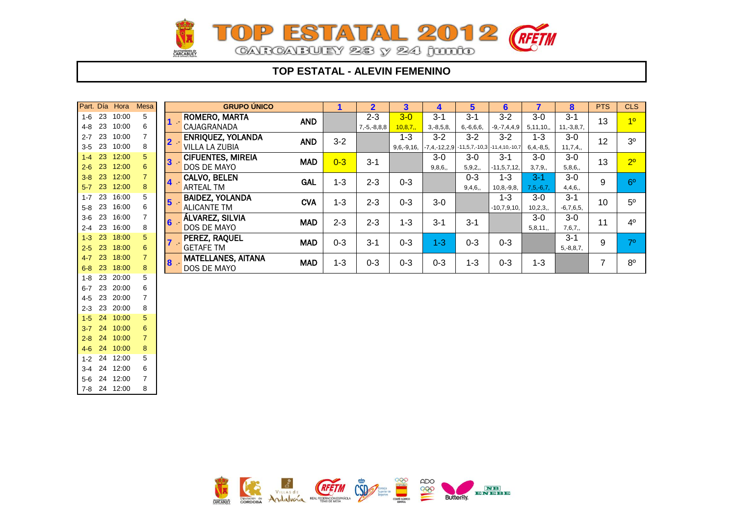

### **TOP ESTATAL - ALEVIN FEMENINO**

|                    |          | Part. Día Hora | Mesa                |                        | <b>GRUPO ÚNICO</b>                         |            | 1       | $\overline{2}$           | 3                       | 4                                                            | $5\phantom{.0}$           | $6\phantom{1}6$              | $\overline{\mathbf{z}}$   | 8                         | <b>PTS</b> | <b>CLS</b>     |
|--------------------|----------|----------------|---------------------|------------------------|--------------------------------------------|------------|---------|--------------------------|-------------------------|--------------------------------------------------------------|---------------------------|------------------------------|---------------------------|---------------------------|------------|----------------|
| $1 - 6$<br>4-8     | 23<br>23 | 10:00<br>10:00 | 5<br>6              |                        | ROMERO, MARTA<br>CAJAGRANADA               | <b>AND</b> |         | $2 - 3$<br>$7,-5,-8,8,8$ | $3-0$<br>10,8,7,        | $3 - 1$<br>$3, -8, 5, 8,$                                    | $3 - 1$<br>$6, -6, 6, 6,$ | $3 - 2$<br>$-9, -7, 4, 4, 9$ | $3-0$<br>5, 11, 10,       | $3 - 1$<br>$11,-3,8,7,$   | 13         | 10             |
| $2 - 7$<br>$3-5$   | 23<br>23 | 10:00<br>10:00 | 8                   | $\mathbf{2}$           | <b>ENRIQUEZ, YOLANDA</b><br>VILLA LA ZUBIA | <b>AND</b> | $3 - 2$ |                          | $1 - 3$<br>$9,6,-9,16,$ | $3 - 2$<br>$\vert$ -7,4,-12,2,9 -11,5,7,-10,3 -11,4,10,-10,7 | $3 - 2$                   | $3 - 2$                      | $1 - 3$<br>$6, 4, -8, 5,$ | $3-0$<br>11,7,4,          | 12         | 3 <sup>o</sup> |
| $1 - 4$<br>$2 - 6$ | 23<br>23 | 12:00<br>12:00 | 5<br>6              | 3                      | <b>CIFUENTES, MIREIA</b><br>DOS DE MAYO    | <b>MAD</b> | $0 - 3$ | $3 - 1$                  |                         | $3-0$<br>9,8,6,                                              | $3-0$<br>5,9,2,           | $3 - 1$<br>$-11, 5, 7, 12,$  | $3-0$<br>3,7,9,           | $3-0$<br>5,8,6,           | 13         | 2 <sup>o</sup> |
| $3-8$<br>$5 - 7$   | 23<br>23 | 12:00<br>12:00 | $\overline{7}$<br>8 | 4                      | CALVO, BELEN<br>ARTEAL TM                  | <b>GAL</b> | $1 - 3$ | $2 - 3$                  | $0 - 3$                 |                                                              | $0 - 3$<br>9,4,6,         | $1 - 3$<br>$10, 8, -9, 8,$   | $3 - 1$<br>$7, 5, -6, 7$  | $3-0$<br>4,4,6,           | 9          | 6 <sup>o</sup> |
| $1 - 7$<br>$5-8$   | 23<br>23 | 16:00<br>16:00 | 5<br>6              | 5 <sup>5</sup>         | BAIDEZ, YOLANDA<br><b>ALICANTE TM</b>      | <b>CVA</b> | $1 - 3$ | $2 - 3$                  | $0 - 3$                 | $3-0$                                                        |                           | $1 - 3$<br>$-10,7,9,10,$     | $3-0$<br>10, 2, 3,        | $3 - 1$<br>$-6,7,6,5,$    | 10         | $5^{\circ}$    |
| $3-6$<br>$2 - 4$   | 23<br>23 | 16:00<br>16:00 | 8                   | $6\phantom{a}$<br>- 17 | ÁLVAREZ, SILVIA<br>DOS DE MAYO             | <b>MAD</b> | $2 - 3$ | $2 - 3$                  | $1 - 3$                 | $3 - 1$                                                      | $3 - 1$                   |                              | $3-0$<br>5,8,11,          | $3-0$<br>7,6,7,           | 11         | 4 <sup>0</sup> |
| $1 - 3$<br>$2 - 5$ | 23<br>23 | 18:00<br>18:00 | 5<br>6              |                        | PEREZ, RAQUEL<br><b>GETAFE TM</b>          | <b>MAD</b> | $0 - 3$ | $3 - 1$                  | $0 - 3$                 | $1 - 3$                                                      | $0 - 3$                   | $0 - 3$                      |                           | $3 - 1$<br>$5, -8, 8, 7,$ | 9          | 7 <sup>0</sup> |
| $4 - 7$<br>$6 - 8$ | 23<br>23 | 18:00<br>18:00 | $\overline{7}$<br>8 | 8 <sub>1</sub>         | <b>MATELLANES, AITANA</b><br>DOS DE MAYO   | <b>MAD</b> | $1 - 3$ | $0 - 3$                  | $0 - 3$                 | $0 - 3$                                                      | $1 - 3$                   | $0 - 3$                      | $1 - 3$                   |                           | 7          | $8^{\circ}$    |
| 1-8                | 23       | 20:00          | 5                   |                        |                                            |            |         |                          |                         |                                                              |                           |                              |                           |                           |            |                |
| $6 - 7$<br>$4 - 5$ | 23<br>23 | 20:00<br>20:00 | 6<br>$\overline{7}$ |                        |                                            |            |         |                          |                         |                                                              |                           |                              |                           |                           |            |                |
| $2 - 3$            | 23       | 20:00          | 8                   |                        |                                            |            |         |                          |                         |                                                              |                           |                              |                           |                           |            |                |
| $1 - 5$            | 24       | 10:00          | 5                   |                        |                                            |            |         |                          |                         |                                                              |                           |                              |                           |                           |            |                |
| $3-7$              | 24       | 10:00          | 6                   |                        |                                            |            |         |                          |                         |                                                              |                           |                              |                           |                           |            |                |
| $2 - 8$            | 24       | 10:00          | $\overline{7}$      |                        |                                            |            |         |                          |                         |                                                              |                           |                              |                           |                           |            |                |
| $4 - 6$            | 24<br>24 | 10:00<br>12:00 | 8<br>5              |                        |                                            |            |         |                          |                         |                                                              |                           |                              |                           |                           |            |                |
| $1 - 2$<br>$3 - 4$ | 24       | 12:00          | 6                   |                        |                                            |            |         |                          |                         |                                                              |                           |                              |                           |                           |            |                |
|                    |          | 5-6 24 12:00   | $\overline{7}$      |                        |                                            |            |         |                          |                         |                                                              |                           |                              |                           |                           |            |                |



7-8 24 12:00 8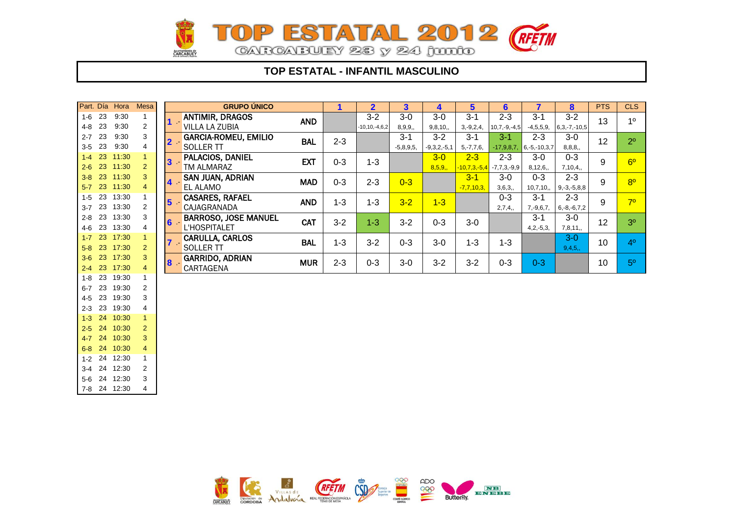

### **TOP ESTATAL - INFANTIL MASCULINO**

| Part. Día |    | Hora     | <b>Mesa</b>    |                | <b>GRUPO ÚNICO</b>          |            | 1       | $\overline{2}$      | 3           | 4             | 5              | $6\phantom{1}6$ | $\overline{\mathbf{7}}$ | 8                 | <b>PTS</b> | <b>CLS</b>     |
|-----------|----|----------|----------------|----------------|-----------------------------|------------|---------|---------------------|-------------|---------------|----------------|-----------------|-------------------------|-------------------|------------|----------------|
| $1 - 6$   | 23 | 9:30     |                | $1 -$          | <b>ANTIMIR, DRAGOS</b>      | <b>AND</b> |         | $3-2$               | $3-0$       | $3-0$         | $3 - 1$        | $2 - 3$         | $3 - 1$                 | $3-2$             | 13         | 1 <sup>0</sup> |
| $4 - 8$   | 23 | 9:30     | 2              |                | <b>VILLA LA ZUBIA</b>       |            |         | $-10, 10, -4, 6, 2$ | 8,9,9,      | 9, 8, 10,     | $3, -9, 2, 4,$ | $10,7,-9,-4,5$  | $-4,5,5,9,$             | $6,3,-7,-10,5$    |            |                |
| $2 - 7$   | 23 | 9:30     | 3              | 2 <sub>1</sub> | <b>GARCIA-ROMEU, EMILIO</b> | <b>BAL</b> | $2 - 3$ |                     | $3 - 1$     | $3 - 2$       | $3 - 1$        | $3 - 1$         | $2 - 3$                 | $3-0$             | 12         | 2 <sup>0</sup> |
| $3-5$     | 23 | 9:30     | 4              |                | <b>SOLLER TT</b>            |            |         |                     | $-5,8,9,5,$ | $-9,3,2,-5,1$ | $5, -7, 7, 6,$ | $-17,9,8,7$     | $6, -5, -10, 3, 7$      | 8,8,8,            |            |                |
| $1-4$     | 23 | 11:30    |                | 3.             | PALACIOS, DANIEL            | <b>EXT</b> | $0 - 3$ | $1 - 3$             |             | $3 - 0$       | $2 - 3$        | $2 - 3$         | $3-0$                   | $0 - 3$           | 9          | 6 <sup>o</sup> |
| $2 - 6$   | 23 | 11:30    | $\overline{2}$ |                | TM ALMARAZ                  |            |         |                     |             | 8,5,9,        | $-10,7,3,-5,4$ | $-7,7,3,-9,9$   | 8,12,6,                 | 7,10,4,           |            |                |
| $3-8$     | 23 | 11:30    | 3              | 4              | SAN JUAN, ADRIAN            | <b>MAD</b> | $0 - 3$ | $2 - 3$             | $0 - 3$     |               | $3 - 1$        | $3-0$           | $0 - 3$                 | $2 - 3$           | 9          | 8 <sup>o</sup> |
| $5 - 7$   | 23 | 11:30    | 4              |                | <b>EL ALAMO</b>             |            |         |                     |             |               | $-7,7,10,3$    | 3,6,3,          | 10,7,10,                | $9, -3, -5, 8, 8$ |            |                |
| $1 - 5$   | 23 | 13:30    |                | 5              | <b>CASARES, RAFAEL</b>      | <b>AND</b> | $1 - 3$ | $1 - 3$             | $3 - 2$     | $1 - 3$       |                | $0 - 3$         | $3 - 1$                 | $2 - 3$           | 9          | 70             |
| $3 - 7$   | 23 | 13:30    | 2              |                | CAJAGRANADA                 |            |         |                     |             |               |                | 2,7,4,          | $7, -9, 6, 7,$          | $6, -8, -6, 7, 2$ |            |                |
| $2 - 8$   | 23 | 13:30    | 3              | $6 -$          | <b>BARROSO, JOSE MANUEL</b> | <b>CAT</b> | $3 - 2$ | $1 - 3$             | $3 - 2$     | $0 - 3$       | $3-0$          |                 | $3 - 1$                 | $3-0$             | 12         | 3 <sup>0</sup> |
| 4-6       | 23 | 13:30    | 4              |                | <b>L'HOSPITALET</b>         |            |         |                     |             |               |                |                 | $4, 2, -5, 3,$          | 7,8,11,           |            |                |
| $1 - 7$   | 23 | 17:30    |                | $7 -$          | CARULLA, CARLOS             | <b>BAL</b> | $1 - 3$ | $3 - 2$             | $0 - 3$     | $3-0$         | $1 - 3$        | $1 - 3$         |                         | $3-0$             | 10         | 4 <sup>0</sup> |
| $5-8$     | 23 | 17:30    | 2              |                | <b>SOLLER TT</b>            |            |         |                     |             |               |                |                 |                         | 9,4,5,            |            |                |
| $3-6$     | 23 | 17:30    | 3              | $8 -$          | <b>GARRIDO, ADRIAN</b>      | <b>MUR</b> | $2 - 3$ | $0 - 3$             | $3-0$       | $3 - 2$       | $3 - 2$        | $0 - 3$         | $0 - 3$                 |                   | 10         | 5 <sup>0</sup> |
| $2-4$     | 23 | 17:30    | $\overline{4}$ |                | CARTAGENA                   |            |         |                     |             |               |                |                 |                         |                   |            |                |
| $1 - 8$   | 23 | 19:30    |                |                |                             |            |         |                     |             |               |                |                 |                         |                   |            |                |
| $6 - 7$   | 23 | 19:30    | 2              |                |                             |            |         |                     |             |               |                |                 |                         |                   |            |                |
| $4-5$     | 23 | 19:30    | 3              |                |                             |            |         |                     |             |               |                |                 |                         |                   |            |                |
| $2 - 3$   | 23 | 19:30    | 4              |                |                             |            |         |                     |             |               |                |                 |                         |                   |            |                |
| $1-3$     | 24 | 10:30    |                |                |                             |            |         |                     |             |               |                |                 |                         |                   |            |                |
| $2 - 5$   | 24 | 10:30    | $\overline{2}$ |                |                             |            |         |                     |             |               |                |                 |                         |                   |            |                |
| $4 - 7$   | 24 | 10:30    | 3              |                |                             |            |         |                     |             |               |                |                 |                         |                   |            |                |
| $6 - 8$   | 24 | 10:30    | 4              |                |                             |            |         |                     |             |               |                |                 |                         |                   |            |                |
| $1 - 2$   | 24 | 12:30    |                |                |                             |            |         |                     |             |               |                |                 |                         |                   |            |                |
| $3-4$     | 24 | 12:30    | 2              |                |                             |            |         |                     |             |               |                |                 |                         |                   |            |                |
| $5-6$     |    | 24 12:30 | 3              |                |                             |            |         |                     |             |               |                |                 |                         |                   |            |                |



7-8 24 12:30 4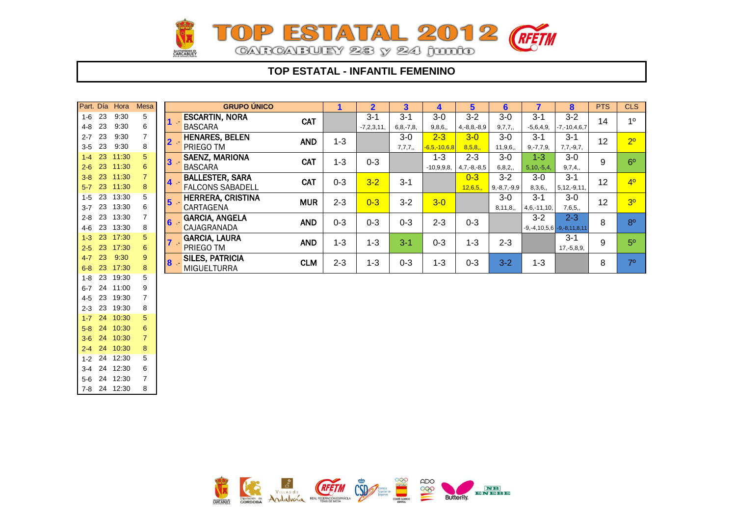

### **TOP ESTATAL - INFANTIL FEMENINO**

| Part. Día |    | Hora         | <b>Mesa</b>    |       | <b>GRUPO ÚNICO</b>      |            |         | $\overline{2}$ | 3              | 4                  | 5                 | $6\phantom{1}6$   |                 | 8                                      | <b>PTS</b> | <b>CLS</b>     |
|-----------|----|--------------|----------------|-------|-------------------------|------------|---------|----------------|----------------|--------------------|-------------------|-------------------|-----------------|----------------------------------------|------------|----------------|
| $1-6$ 23  |    | 9:30         | 5              |       | <b>ESCARTIN, NORA</b>   | <b>CAT</b> |         | $3 - 1$        | $3 - 1$        | $3-0$              | $3 - 2$           | $3-0$             | $3 - 1$         | $3 - 2$                                | 14         | 1 <sup>0</sup> |
| 4-8       | 23 | 9:30         | 6              |       | <b>BASCARA</b>          |            |         | $-7,2,3,11,$   | $6, 8, -7, 8,$ | 9,8,6,             | $4, -8, 8, -8, 9$ | 9,7,7,            | $-5,6,4,9,$     | $-7, -10, 4, 6, 7$                     |            |                |
| $2 - 7$   | 23 | 9:30         | 7              | $2 -$ | <b>HENARES, BELEN</b>   | <b>AND</b> | $1 - 3$ |                | $3-0$          | $2 - 3$            | $3-0$             | $3-0$             | $3 - 1$         | $3 - 1$                                | 12         | 2 <sup>0</sup> |
| $3-5$ 23  |    | 9:30         | 8              |       | PRIEGO TM               |            |         |                | 7,7,7,         | $-6, 5, -10, 6, 8$ | 8,5,8,            | 11,9,6,           | $9, -7, 7, 9,$  | $7,7,-9,7,$                            |            |                |
| $1-4$     | 23 | 11:30        | 5              | $3$ . | <b>SAENZ, MARIONA</b>   | <b>CAT</b> | $1 - 3$ | $0 - 3$        |                | $1 - 3$            | $2 - 3$           | $3-0$             | $1 - 3$         | $3-0$                                  | 9          | 6 <sup>o</sup> |
| $2 - 6$   | 23 | 11:30        | 6              |       | <b>BASCARA</b>          |            |         |                |                | $-10,9,9,8,$       | $4,7,-8,-8,5$     | 6,8,2,            | $5, 10, -5, 4,$ | 9,7,4,                                 |            |                |
| $3 - 8$   | 23 | 11:30        | $\overline{7}$ | $4 -$ | <b>BALLESTER, SARA</b>  | <b>CAT</b> | $0 - 3$ | $3 - 2$        | $3 - 1$        |                    | $0 - 3$           | $3 - 2$           | $3-0$           | $3 - 1$                                | 12         | 4 <sup>0</sup> |
| $5-7$     | 23 | 11:30        | 8              |       | <b>FALCONS SABADELL</b> |            |         |                |                |                    | 12,6,5,           | $9, -8, 7, -9, 9$ | 8,3,6,          | $5, 12, -9, 11,$                       |            |                |
| $1-5$     | 23 | 13:30        | 5              | $5 -$ | HERRERA, CRISTINA       | <b>MUR</b> | $2 - 3$ |                | $3 - 2$        |                    |                   | $3-0$             | $3 - 1$         | $3-0$                                  | 12         | 3 <sup>0</sup> |
| $3 - 7$   | 23 | 13:30        | 6              |       | CARTAGENA               |            |         | $0 - 3$        |                | $3-0$              |                   | 8, 11, 8,         | $4,6,-11,10,$   | 7,6,5,                                 |            |                |
| $2 - 8$   | 23 | 13:30        | 7              | $6 -$ | <b>GARCIA, ANGELA</b>   |            | $0 - 3$ | $0 - 3$        | $0 - 3$        | $2 - 3$            |                   |                   | $3 - 2$         | $2 - 3$                                | 8          | 8 <sup>0</sup> |
| 4-6 23    |    | 13:30        | 8              |       | CAJAGRANADA             | <b>AND</b> |         |                |                |                    | $0 - 3$           |                   |                 | $-9, -4, 10, 5, 6$ $-9, -8, 11, 8, 11$ |            |                |
| $1-3$     | 23 | 17:30        | 5              | $7 -$ | <b>GARCIA, LAURA</b>    | <b>AND</b> | $1 - 3$ | $1 - 3$        | $3-1$          | $0 - 3$            | $1 - 3$           | $2 - 3$           |                 | $3 - 1$                                | 9          | 5 <sup>0</sup> |
| $2 - 5$   | 23 | 17:30        | 6              |       | PRIEGO TM               |            |         |                |                |                    |                   |                   |                 | $17,-5,8,9,$                           |            |                |
| $4 - 7$   | 23 | 9:30         | 9              | $8 -$ | <b>SILES, PATRICIA</b>  | <b>CLM</b> | $2 - 3$ | $1 - 3$        | $0 - 3$        | $1 - 3$            | $0 - 3$           | $3 - 2$           | $1 - 3$         |                                        | 8          | 7 <sup>0</sup> |
| $6 - 8$   | 23 | 17:30        | 8              |       | <b>MIGUELTURRA</b>      |            |         |                |                |                    |                   |                   |                 |                                        |            |                |
| $1 - 8$   | 23 | 19:30        | 5              |       |                         |            |         |                |                |                    |                   |                   |                 |                                        |            |                |
| $6 - 7$   | 24 | 11:00        | 9              |       |                         |            |         |                |                |                    |                   |                   |                 |                                        |            |                |
| 4-5       | 23 | 19:30        | $\overline{7}$ |       |                         |            |         |                |                |                    |                   |                   |                 |                                        |            |                |
| $2 - 3$   | 23 | 19:30        | 8              |       |                         |            |         |                |                |                    |                   |                   |                 |                                        |            |                |
|           |    | 1 7 24 10:30 | 5              |       |                         |            |         |                |                |                    |                   |                   |                 |                                        |            |                |

5-8 24 10:30 6 3-6 24 10:30 7 2-4 24 10:30 8 1-2 24 12:30 5 3-4 24 12:30 6 5-6 24 12:30 7 7-8 24 12:30 8

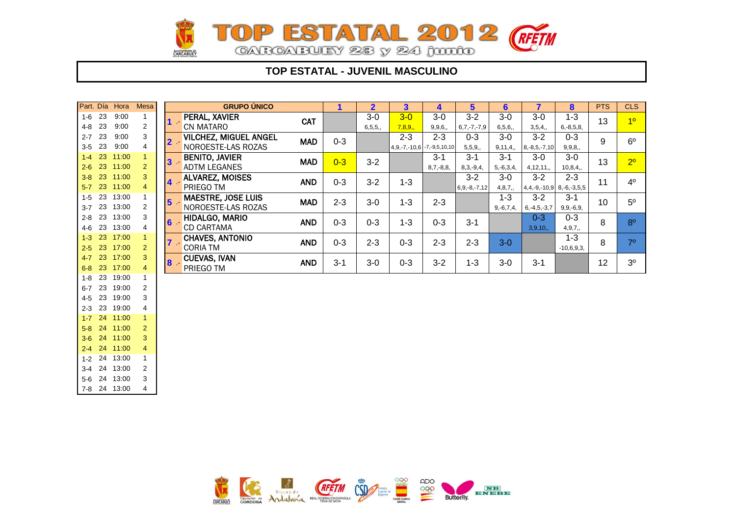

### **TOP ESTATAL - JUVENIL MASCULINO**

|         |    | Part. Día Hora | Mesa           |                | <b>GRUPO ÚNICO</b>           |            | 1       | $\overline{2}$ | 3       | 4                              | $5\phantom{.0}$    | 6              | $\overline{7}$                 | 8              | <b>PTS</b> | <b>CLS</b>     |
|---------|----|----------------|----------------|----------------|------------------------------|------------|---------|----------------|---------|--------------------------------|--------------------|----------------|--------------------------------|----------------|------------|----------------|
| $1 - 6$ | 23 | 9:00           | 1              |                | PERAL, XAVIER                | <b>CAT</b> |         | $3-0$          | $3-0$   | $3-0$                          | $3 - 2$            | $3-0$          | $3-0$                          | $1 - 3$        | 13         | 1 <sup>0</sup> |
| 4-8     | 23 | 9:00           | 2              |                | CN MATARO                    |            |         | 6, 5, 5,       | 7,8,9,  | 9, 9, 6,                       | $6, 7, -7, -7, 9$  | 6, 5, 6,       | 3,5,4,                         | $6, -8, 5, 8,$ |            |                |
| $2 - 7$ | 23 | 9:00           | 3              | $2 -$          | <b>VILCHEZ, MIGUEL ANGEL</b> | <b>MAD</b> | $0 - 3$ |                | $2 - 3$ | $2 - 3$                        | $0 - 3$            | $3-0$          | $3 - 2$                        | $0 - 3$        | 9          | 6 <sup>o</sup> |
| $3 - 5$ | 23 | 9:00           | 4              |                | NOROESTE-LAS ROZAS           |            |         |                |         | $4,9,-7,-10,6$ $-7,-9,5,10,10$ | 5, 5, 9,           | 9, 11, 4,      | $8, -8, 5, -7, 10$             | 9, 9, 8,       |            |                |
| $1-4$   | 23 | 11:00          | $\overline{1}$ | 3              | <b>BENITO, JAVIER</b>        | <b>MAD</b> | $0 - 3$ | $3 - 2$        |         | $3 - 1$                        | $3 - 1$            | $3 - 1$        | $3-0$                          | $3-0$          | 13         | 2 <sup>0</sup> |
| $2 - 6$ | 23 | 11:00          | 2              |                | <b>ADTM LEGANES</b>          |            |         |                |         | $8,7,-8,8,$                    | $8,3,-9,4,$        | $5, -6, 3, 4,$ | 4, 12, 11,                     | 10,8,4,        |            |                |
| $3-8$   | 23 | 11:00          | 3              | 4 <sup>7</sup> | ALVAREZ, MOISES              | <b>AND</b> | $0 - 3$ | $3 - 2$        | $1 - 3$ |                                | $3 - 2$            | $3-0$          | $3 - 2$                        | $2 - 3$        | 11         | $4^{\circ}$    |
| $5-7$   | 23 | 11:00          | $\overline{4}$ |                | PRIEGO TM                    |            |         |                |         |                                | $6, 9, -8, -7, 12$ | 4,8,7,         | $4,4,-9,-10,9$ 8, -6, -3, 5, 5 |                |            |                |
| $1-5$   | 23 | 13:00          |                | 5 <sub>1</sub> | <b>MAESTRE, JOSE LUIS</b>    | <b>MAD</b> | $2 - 3$ | $3-0$          | $1 - 3$ | $2 - 3$                        |                    | $1 - 3$        | $3 - 2$                        | $3 - 1$        | 10         | $5^{\circ}$    |
| $3 - 7$ | 23 | 13:00          | 2              |                | NOROESTE-LAS ROZAS           |            |         |                |         |                                |                    | $9,-6,7,4,$    | $6, -4, 5, -3, 7$              | $9, 9, -6, 9,$ |            |                |
| $2 - 8$ | 23 | 13:00          | 3              | $6 -$          | HIDALGO, MARIO               | <b>AND</b> | $0 - 3$ | $0 - 3$        | $1 - 3$ | $0 - 3$                        | $3 - 1$            |                | $0 - 3$                        | $0 - 3$        | 8          | 8 <sup>o</sup> |
| 4-6     | 23 | 13:00          | 4              |                | <b>CD CARTAMA</b>            |            |         |                |         |                                |                    |                | 3,9,10,                        | 4, 9, 7,       |            |                |
| $1 - 3$ | 23 | 17:00          |                |                | <b>CHAVES, ANTONIO</b>       | <b>AND</b> | $0 - 3$ | $2 - 3$        | $0 - 3$ | $2 - 3$                        | $2 - 3$            | $3-0$          |                                | $1 - 3$        | 8          | $7^\circ$      |
| $2 - 5$ | 23 | 17:00          | 2              |                | <b>CORIA TM</b>              |            |         |                |         |                                |                    |                |                                | $-10,6,9,3,$   |            |                |
| $4 - 7$ | 23 | 17:00          | 3              | $8 -$          | <b>CUEVAS, IVAN</b>          | <b>AND</b> | $3 - 1$ | $3-0$          | $0 - 3$ | $3 - 2$                        | $1 - 3$            | $3-0$          | $3 - 1$                        |                | 12         | 3 <sup>o</sup> |
| $6 - 8$ | 23 | 17:00          | 4              |                | PRIEGO TM                    |            |         |                |         |                                |                    |                |                                |                |            |                |
| 1-8     | 23 | 19:00          |                |                |                              |            |         |                |         |                                |                    |                |                                |                |            |                |
| $6 - 7$ | 23 | 19:00          | 2              |                |                              |            |         |                |         |                                |                    |                |                                |                |            |                |
| $4 - 5$ | 23 | 19:00          | 3              |                |                              |            |         |                |         |                                |                    |                |                                |                |            |                |
| $2 - 3$ | 23 | 19:00          | 4              |                |                              |            |         |                |         |                                |                    |                |                                |                |            |                |
| $1 - 7$ | 24 | 11:00          | $\overline{1}$ |                |                              |            |         |                |         |                                |                    |                |                                |                |            |                |
| $5-8$   | 24 | 11:00          | 2              |                |                              |            |         |                |         |                                |                    |                |                                |                |            |                |
| $3 - 6$ | 24 | 11:00          | 3              |                |                              |            |         |                |         |                                |                    |                |                                |                |            |                |
| $2 - 4$ | 24 | 11:00          | 4              |                |                              |            |         |                |         |                                |                    |                |                                |                |            |                |
|         |    | 1-2 24 13:00   | 1              |                |                              |            |         |                |         |                                |                    |                |                                |                |            |                |



3-4 24 13:00 2 5-6 24 13:00 3 7-8 24 13:00 4